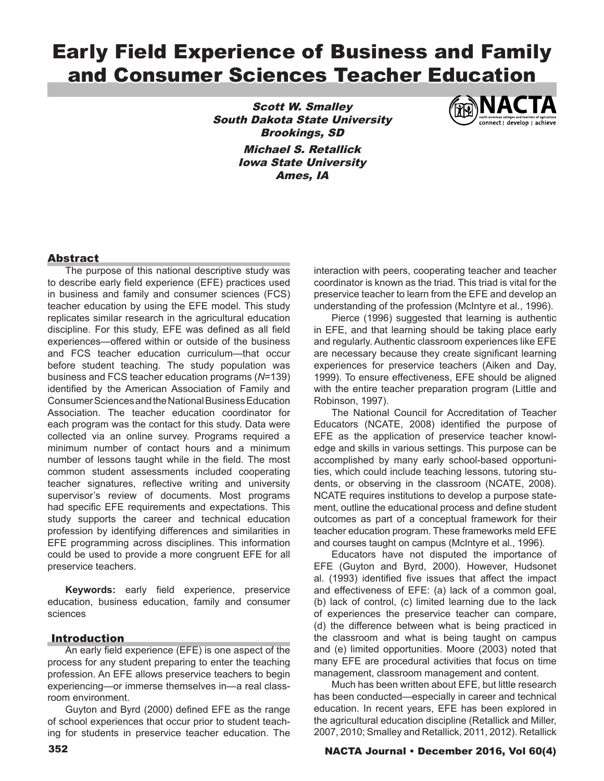# Early Field Experience of Business and Family and Consumer Sciences Teacher Education

Scott W. Smalley South Dakota State University Brookings, SD Michael S. Retallick Iowa State University Ames, IA



# **Abstract**

The purpose of this national descriptive study was to describe early field experience (EFE) practices used in business and family and consumer sciences (FCS) teacher education by using the EFE model. This study replicates similar research in the agricultural education discipline. For this study, EFE was defined as all field experiences—offered within or outside of the business and FCS teacher education curriculum—that occur before student teaching. The study population was business and FCS teacher education programs (*N*=139) identified by the American Association of Family and Consumer Sciences and the National Business Education Association. The teacher education coordinator for each program was the contact for this study. Data were collected via an online survey. Programs required a minimum number of contact hours and a minimum number of lessons taught while in the field. The most common student assessments included cooperating teacher signatures, reflective writing and university supervisor's review of documents. Most programs had specific EFE requirements and expectations. This study supports the career and technical education profession by identifying differences and similarities in EFE programming across disciplines. This information could be used to provide a more congruent EFE for all preservice teachers.

**Keywords:** early field experience, preservice education, business education, family and consumer sciences

## Introduction

An early field experience (EFE) is one aspect of the process for any student preparing to enter the teaching profession. An EFE allows preservice teachers to begin experiencing—or immerse themselves in—a real classroom environment.

Guyton and Byrd (2000) defined EFE as the range of school experiences that occur prior to student teaching for students in preservice teacher education. The

interaction with peers, cooperating teacher and teacher coordinator is known as the triad. This triad is vital for the preservice teacher to learn from the EFE and develop an understanding of the profession (McIntyre et al., 1996).

Pierce (1996) suggested that learning is authentic in EFE, and that learning should be taking place early and regularly. Authentic classroom experiences like EFE are necessary because they create significant learning experiences for preservice teachers (Aiken and Day, 1999). To ensure effectiveness, EFE should be aligned with the entire teacher preparation program (Little and Robinson, 1997).

The National Council for Accreditation of Teacher Educators (NCATE, 2008) identified the purpose of EFE as the application of preservice teacher knowledge and skills in various settings. This purpose can be accomplished by many early school-based opportunities, which could include teaching lessons, tutoring students, or observing in the classroom (NCATE, 2008). NCATE requires institutions to develop a purpose statement, outline the educational process and define student outcomes as part of a conceptual framework for their teacher education program. These frameworks meld EFE and courses taught on campus (McIntyre et al., 1996).

Educators have not disputed the importance of EFE (Guyton and Byrd, 2000). However, Hudsonet al. (1993) identified five issues that affect the impact and effectiveness of EFE: (a) lack of a common goal, (b) lack of control, (c) limited learning due to the lack of experiences the preservice teacher can compare, (d) the difference between what is being practiced in the classroom and what is being taught on campus and (e) limited opportunities. Moore (2003) noted that many EFE are procedural activities that focus on time management, classroom management and content.

Much has been written about EFE, but little research has been conducted—especially in career and technical education. In recent years, EFE has been explored in the agricultural education discipline (Retallick and Miller, 2007, 2010; Smalley and Retallick, 2011, 2012). Retallick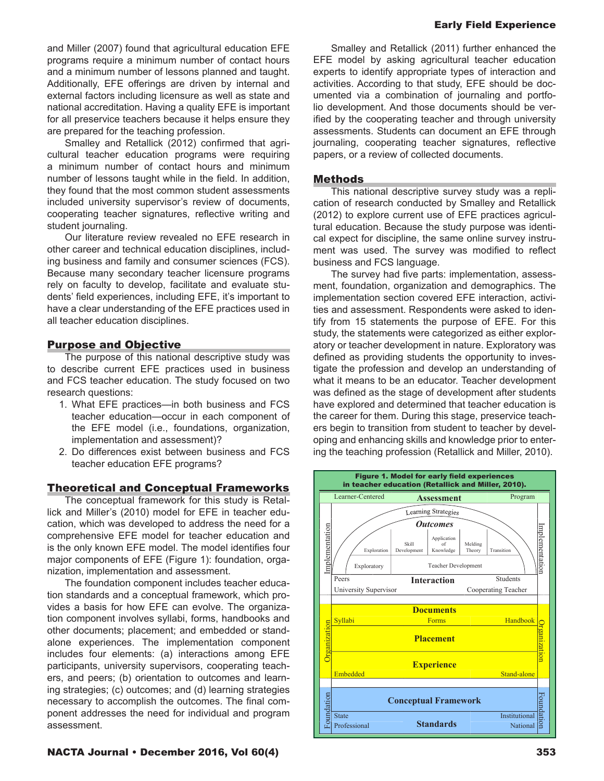Early Field Experience

and Miller (2007) found that agricultural education EFE programs require a minimum number of contact hours and a minimum number of lessons planned and taught. Additionally, EFE offerings are driven by internal and external factors including licensure as well as state and national accreditation. Having a quality EFE is important for all preservice teachers because it helps ensure they are prepared for the teaching profession.

Smalley and Retallick (2012) confirmed that agricultural teacher education programs were requiring a minimum number of contact hours and minimum number of lessons taught while in the field. In addition, they found that the most common student assessments included university supervisor's review of documents, cooperating teacher signatures, reflective writing and student journaling.

Our literature review revealed no EFE research in other career and technical education disciplines, including business and family and consumer sciences (FCS). Because many secondary teacher licensure programs rely on faculty to develop, facilitate and evaluate students' field experiences, including EFE, it's important to have a clear understanding of the EFE practices used in all teacher education disciplines.

# Purpose and Objective

The purpose of this national descriptive study was to describe current EFE practices used in business and FCS teacher education. The study focused on two research questions:

- 1. What EFE practices—in both business and FCS teacher education—occur in each component of the EFE model (i.e., foundations, organization, implementation and assessment)?
- 2. Do differences exist between business and FCS teacher education EFE programs?

## Theoretical and Conceptual Frameworks

The conceptual framework for this study is Retallick and Miller's (2010) model for EFE in teacher education, which was developed to address the need for a comprehensive EFE model for teacher education and is the only known EFE model. The model identifies four major components of EFE (Figure 1): foundation, organization, implementation and assessment.

The foundation component includes teacher education standards and a conceptual framework, which provides a basis for how EFE can evolve. The organization component involves syllabi, forms, handbooks and other documents; placement; and embedded or standalone experiences. The implementation component includes four elements: (a) interactions among EFE participants, university supervisors, cooperating teachers, and peers; (b) orientation to outcomes and learning strategies; (c) outcomes; and (d) learning strategies necessary to accomplish the outcomes. The final component addresses the need for individual and program assessment.

Smalley and Retallick (2011) further enhanced the EFE model by asking agricultural teacher education experts to identify appropriate types of interaction and activities. According to that study, EFE should be documented via a combination of journaling and portfolio development. And those documents should be verified by the cooperating teacher and through university assessments. Students can document an EFE through journaling, cooperating teacher signatures, reflective papers, or a review of collected documents.

#### Methods

This national descriptive survey study was a replication of research conducted by Smalley and Retallick (2012) to explore current use of EFE practices agricultural education. Because the study purpose was identical expect for discipline, the same online survey instrument was used. The survey was modified to reflect business and FCS language.

The survey had five parts: implementation, assessment, foundation, organization and demographics. The implementation section covered EFE interaction, activities and assessment. Respondents were asked to identify from 15 statements the purpose of EFE. For this study, the statements were categorized as either exploratory or teacher development in nature. Exploratory was defined as providing students the opportunity to investigate the profession and develop an understanding of what it means to be an educator. Teacher development was defined as the stage of development after students have explored and determined that teacher education is the career for them. During this stage, preservice teachers begin to transition from student to teacher by developing and enhancing skills and knowledge prior to entering the teaching profession (Retallick and Miller, 2010).

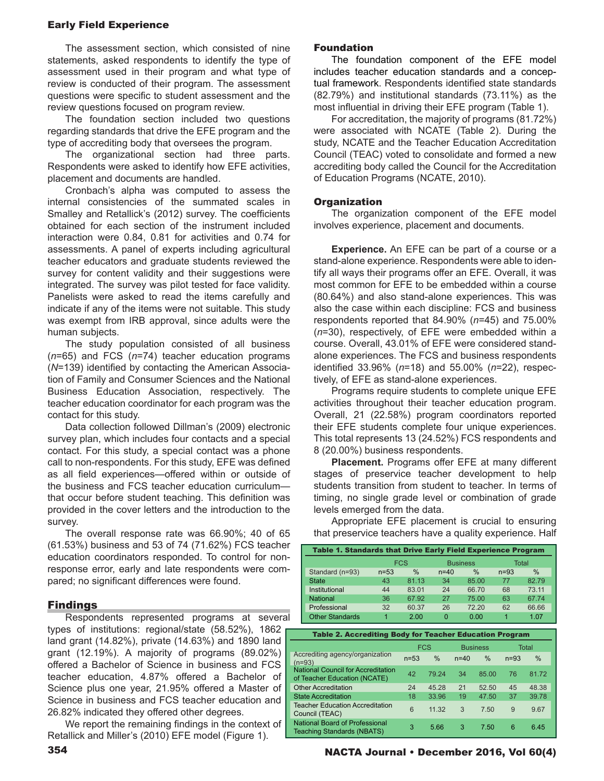# Early Field Experience

The assessment section, which consisted of nine statements, asked respondents to identify the type of assessment used in their program and what type of review is conducted of their program. The assessment questions were specific to student assessment and the review questions focused on program review.

The foundation section included two questions regarding standards that drive the EFE program and the type of accrediting body that oversees the program.

The organizational section had three parts. Respondents were asked to identify how EFE activities, placement and documents are handled.

Cronbach's alpha was computed to assess the internal consistencies of the summated scales in Smalley and Retallick's (2012) survey. The coefficients obtained for each section of the instrument included interaction were 0.84, 0.81 for activities and 0.74 for assessments. A panel of experts including agricultural teacher educators and graduate students reviewed the survey for content validity and their suggestions were integrated. The survey was pilot tested for face validity. Panelists were asked to read the items carefully and indicate if any of the items were not suitable. This study was exempt from IRB approval, since adults were the human subjects.

The study population consisted of all business (*n*=65) and FCS (*n*=74) teacher education programs (*N*=139) identified by contacting the American Association of Family and Consumer Sciences and the National Business Education Association, respectively. The teacher education coordinator for each program was the contact for this study.

Data collection followed Dillman's (2009) electronic survey plan, which includes four contacts and a special contact. For this study, a special contact was a phone call to non-respondents. For this study, EFE was defined as all field experiences—offered within or outside of the business and FCS teacher education curriculum that occur before student teaching. This definition was provided in the cover letters and the introduction to the survey.

The overall response rate was 66.90%; 40 of 65 (61.53%) business and 53 of 74 (71.62%) FCS teacher education coordinators responded. To control for nonresponse error, early and late respondents were compared; no significant differences were found.

# Findings

Respondents represented programs at several types of institutions: regional/state (58.52%), 1862 land grant (14.82%), private (14.63%) and 1890 land grant (12.19%). A majority of programs (89.02%) offered a Bachelor of Science in business and FCS teacher education, 4.87% offered a Bachelor of Science plus one year, 21.95% offered a Master of Science in business and FCS teacher education and 26.82% indicated they offered other degrees.

We report the remaining findings in the context of Retallick and Miller's (2010) EFE model (Figure 1).

## Foundation

The foundation component of the EFE model includes teacher education standards and a conceptual framework. Respondents identified state standards (82.79%) and institutional standards (73.11%) as the most influential in driving their EFE program (Table 1).

For accreditation, the majority of programs (81.72%) were associated with NCATE (Table 2). During the study, NCATE and the Teacher Education Accreditation Council (TEAC) voted to consolidate and formed a new accrediting body called the Council for the Accreditation of Education Programs (NCATE, 2010).

# **Organization**

The organization component of the EFE model involves experience, placement and documents.

**Experience.** An EFE can be part of a course or a stand-alone experience. Respondents were able to identify all ways their programs offer an EFE. Overall, it was most common for EFE to be embedded within a course (80.64%) and also stand-alone experiences. This was also the case within each discipline: FCS and business respondents reported that 84.90% (*n*=45) and 75.00% (*n*=30), respectively, of EFE were embedded within a course. Overall, 43.01% of EFE were considered standalone experiences. The FCS and business respondents identified 33.96% (*n*=18) and 55.00% (*n*=22), respectively, of EFE as stand-alone experiences.

Programs require students to complete unique EFE activities throughout their teacher education program. Overall, 21 (22.58%) program coordinators reported their EFE students complete four unique experiences. This total represents 13 (24.52%) FCS respondents and 8 (20.00%) business respondents.

**Placement.** Programs offer EFE at many different stages of preservice teacher development to help students transition from student to teacher. In terms of timing, no single grade level or combination of grade levels emerged from the data.

Appropriate EFE placement is crucial to ensuring that preservice teachers have a quality experience. Half

| Table 1. Standards that Drive Early Field Experience Program              |            |          |          |                 |       |          |              |  |
|---------------------------------------------------------------------------|------------|----------|----------|-----------------|-------|----------|--------------|--|
|                                                                           | <b>FCS</b> |          |          | <b>Business</b> |       |          | <b>Total</b> |  |
| Standard (n=93)                                                           | $n = 53$   | $\%$     | $n=40$   |                 | $\%$  | $n=93$   | $\%$         |  |
| <b>State</b>                                                              | 43         | 81.13    | 34       |                 | 85.00 | 77       | 82.79        |  |
| Institutional                                                             | 44         | 83.01    | 24       |                 | 66.70 | 68       | 73.11        |  |
| <b>National</b>                                                           | 36         | 67.92    | 27       |                 | 75.00 | 63       | 67.74        |  |
| Professional                                                              | 32         | 60.37    | 26       |                 | 72.20 | 62       | 66.66        |  |
| <b>Other Standards</b>                                                    | 1          | 2.00     | $\Omega$ |                 | 0.00  | 1        | 1.07         |  |
|                                                                           |            |          |          |                 |       |          |              |  |
| <b>Table 2. Accrediting Body for Teacher Education Program</b>            |            |          |          |                 |       |          |              |  |
| <b>FCS</b><br><b>Total</b><br><b>Business</b>                             |            |          |          |                 |       |          |              |  |
|                                                                           |            |          |          |                 |       |          |              |  |
| Accrediting agency/organization<br>$(n=93)$                               |            | $n = 53$ | $\%$     | $n=40$          | $\%$  | $n = 93$ | $\%$         |  |
| <b>National Council for Accreditation</b><br>of Teacher Education (NCATE) |            | 42       | 79.24    | 34              | 85.00 | 76       | 81.72        |  |
| <b>Other Accreditation</b>                                                |            | 24       | 45.28    | 21              | 52.50 | 45       | 48.38        |  |
| <b>State Accreditation</b>                                                |            | 18       | 33.96    | 19              | 47.50 | 37       | 39.78        |  |
| <b>Teacher Education Accreditation</b><br>Council (TEAC)                  |            | 6        | 11.32    | 3               | 7.50  | 9        | 9.67         |  |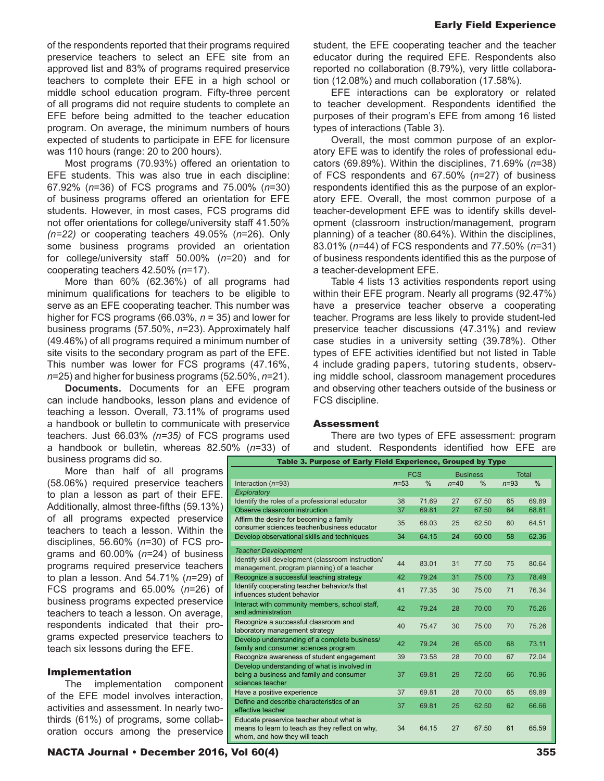of the respondents reported that their programs required preservice teachers to select an EFE site from an approved list and 83% of programs required preservice teachers to complete their EFE in a high school or middle school education program. Fifty-three percent of all programs did not require students to complete an EFE before being admitted to the teacher education program. On average, the minimum numbers of hours expected of students to participate in EFE for licensure was 110 hours (range: 20 to 200 hours).

Most programs (70.93%) offered an orientation to EFE students. This was also true in each discipline: 67.92% (*n*=36) of FCS programs and 75.00% (*n*=30) of business programs offered an orientation for EFE students. However, in most cases, FCS programs did not offer orientations for college/university staff 41.50% *(n=22)* or cooperating teachers 49.05% (*n*=26). Only some business programs provided an orientation for college/university staff 50.00% (*n*=20) and for cooperating teachers 42.50% (*n*=17).

More than 60% (62.36%) of all programs had minimum qualifications for teachers to be eligible to serve as an EFE cooperating teacher. This number was higher for FCS programs (66.03%, *n* = 35) and lower for business programs (57.50%, *n*=23). Approximately half (49.46%) of all programs required a minimum number of site visits to the secondary program as part of the EFE. This number was lower for FCS programs (47.16%, *n*=25) and higher for business programs (52.50%, *n*=21).

**Documents.** Documents for an EFE program can include handbooks, lesson plans and evidence of teaching a lesson. Overall, 73.11% of programs used a handbook or bulletin to communicate with preservice teachers. Just 66.03% *(n=35)* of FCS programs used a handbook or bulletin, whereas 82.50% (*n*=33) of business programs did so.

More than half of all programs (58.06%) required preservice teachers to plan a lesson as part of their EFE. Additionally, almost three-fifths (59.13%) of all programs expected preservice teachers to teach a lesson. Within the disciplines, 56.60% (*n*=30) of FCS programs and 60.00% (*n*=24) of business programs required preservice teachers to plan a lesson. And 54.71% (*n*=29) of FCS programs and 65.00% (*n*=26) of business programs expected preservice teachers to teach a lesson. On average, respondents indicated that their programs expected preservice teachers to teach six lessons during the EFE.

## Implementation

The implementation component of the EFE model involves interaction, activities and assessment. In nearly twothirds (61%) of programs, some collaboration occurs among the preservice

student, the EFE cooperating teacher and the teacher educator during the required EFE. Respondents also reported no collaboration (8.79%), very little collaboration (12.08%) and much collaboration (17.58%).

EFE interactions can be exploratory or related to teacher development. Respondents identified the purposes of their program's EFE from among 16 listed types of interactions (Table 3).

Overall, the most common purpose of an exploratory EFE was to identify the roles of professional educators (69.89%). Within the disciplines, 71.69% (*n*=38) of FCS respondents and 67.50% (*n*=27) of business respondents identified this as the purpose of an exploratory EFE. Overall, the most common purpose of a teacher-development EFE was to identify skills development (classroom instruction/management, program planning) of a teacher (80.64%). Within the disciplines, 83.01% (*n=*44) of FCS respondents and 77.50% (*n*=31) of business respondents identified this as the purpose of a teacher-development EFE.

Table 4 lists 13 activities respondents report using within their EFE program. Nearly all programs (92.47%) have a preservice teacher observe a cooperating teacher. Programs are less likely to provide student-led preservice teacher discussions (47.31%) and review case studies in a university setting (39.78%). Other types of EFE activities identified but not listed in Table 4 include grading papers, tutoring students, observing middle school, classroom management procedures and observing other teachers outside of the business or FCS discipline.

#### Assessment

There are two types of EFE assessment: program and student. Respondents identified how EFE are

| Table 3. Purpose of Early Field Experience, Grouped by Type                                                                  |          |            |          |                 |        |              |  |  |  |
|------------------------------------------------------------------------------------------------------------------------------|----------|------------|----------|-----------------|--------|--------------|--|--|--|
|                                                                                                                              |          | <b>FCS</b> |          | <b>Business</b> |        | <b>Total</b> |  |  |  |
| Interaction $(n=93)$                                                                                                         | $n = 53$ | %          | $n = 40$ | %               | $n=93$ | %            |  |  |  |
| Exploratory                                                                                                                  |          |            |          |                 |        |              |  |  |  |
| Identify the roles of a professional educator                                                                                | 38       | 71.69      | 27       | 67.50           | 65     | 69.89        |  |  |  |
| Observe classroom instruction                                                                                                | 37       | 69.81      | 27       | 67.50           | 64     | 68.81        |  |  |  |
| Affirm the desire for becoming a family<br>consumer sciences teacher/business educator                                       | 35       | 66.03      | 25       | 62.50           | 60     | 64.51        |  |  |  |
| Develop observational skills and techniques                                                                                  | 34       | 64.15      | 24       | 60.00           | 58     | 62.36        |  |  |  |
| <b>Teacher Development</b>                                                                                                   |          |            |          |                 |        |              |  |  |  |
| Identify skill development (classroom instruction/<br>management, program planning) of a teacher                             | 44       | 83.01      | 31       | 77.50           | 75     | 80.64        |  |  |  |
| Recognize a successful teaching strategy                                                                                     | 42       | 79.24      | 31       | 75.00           | 73     | 78.49        |  |  |  |
| Identify cooperating teacher behavior/s that<br>influences student behavior                                                  | 41       | 77.35      | 30       | 75.00           | 71     | 76.34        |  |  |  |
| Interact with community members, school staff,<br>and administration                                                         | 42       | 79.24      | 28       | 70.00           | 70     | 75.26        |  |  |  |
| Recognize a successful classroom and<br>laboratory management strategy                                                       | 40       | 75.47      | 30       | 75.00           | 70     | 75.26        |  |  |  |
| Develop understanding of a complete business/<br>family and consumer sciences program                                        | 42       | 79.24      | 26       | 65.00           | 68     | 73.11        |  |  |  |
| Recognize awareness of student engagement                                                                                    | 39       | 73.58      | 28       | 70.00           | 67     | 72.04        |  |  |  |
| Develop understanding of what is involved in<br>being a business and family and consumer<br>sciences teacher                 | 37       | 69.81      | 29       | 72.50           | 66     | 70.96        |  |  |  |
| Have a positive experience                                                                                                   | 37       | 69.81      | 28       | 70.00           | 65     | 69.89        |  |  |  |
| Define and describe characteristics of an<br>effective teacher                                                               | 37       | 69.81      | 25       | 62.50           | 62     | 66.66        |  |  |  |
| Educate preservice teacher about what is<br>means to learn to teach as they reflect on why,<br>whom, and how they will teach | 34       | 64.15      | 27       | 67.50           | 61     | 65.59        |  |  |  |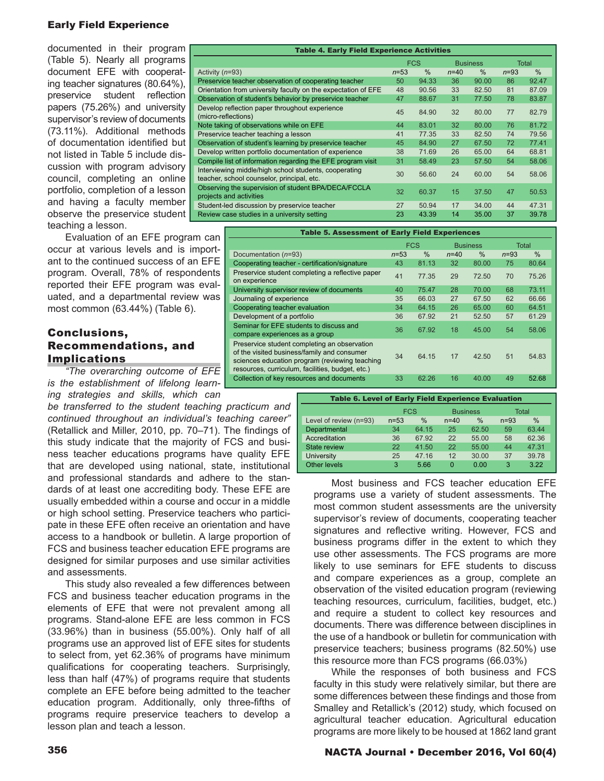# Early Field Experience

documented in their program (Table 5). Nearly all programs document EFE with cooperating teacher signatures (80.64%), preservice student reflection papers (75.26%) and university supervisor's review of documents (73.11%). Additional methods of documentation identified but not listed in Table 5 include discussion with program advisory council, completing an online portfolio, completion of a lesson and having a faculty member observe the preservice student teaching a lesson.

Evaluation of an EFE program can occur at various levels and is important to the continued success of an EFE program. Overall, 78% of respondents reported their EFE program was evaluated, and a departmental review was most common (63.44%) (Table 6).

# Conclusions, Recommendations, and **Implications**

*"The overarching outcome of EFE is the establishment of lifelong learning strategies and skills, which can* 

*be transferred to the student teaching practicum and continued throughout an individual's teaching career"* (Retallick and Miller, 2010, pp. 70–71). The findings of this study indicate that the majority of FCS and business teacher educations programs have quality EFE that are developed using national, state, institutional and professional standards and adhere to the standards of at least one accrediting body. These EFE are usually embedded within a course and occur in a middle or high school setting. Preservice teachers who participate in these EFE often receive an orientation and have access to a handbook or bulletin. A large proportion of FCS and business teacher education EFE programs are designed for similar purposes and use similar activities and assessments.

This study also revealed a few differences between FCS and business teacher education programs in the elements of EFE that were not prevalent among all programs. Stand-alone EFE are less common in FCS (33.96%) than in business (55.00%). Only half of all programs use an approved list of EFE sites for students to select from, yet 62.36% of programs have minimum qualifications for cooperating teachers. Surprisingly, less than half (47%) of programs require that students complete an EFE before being admitted to the teacher education program. Additionally, only three-fifths of programs require preservice teachers to develop a lesson plan and teach a lesson.

| <b>Table 4. Early Field Experience Activities</b>                                                   |          |                               |          |       |              |       |  |  |
|-----------------------------------------------------------------------------------------------------|----------|-------------------------------|----------|-------|--------------|-------|--|--|
|                                                                                                     |          | <b>FCS</b><br><b>Business</b> |          |       | <b>Total</b> |       |  |  |
| Activity $(n=93)$                                                                                   | $n = 53$ | $\%$                          | $n = 40$ | $\%$  | $n=93$       | $\%$  |  |  |
| Preservice teacher observation of cooperating teacher                                               | 50       | 94.33                         | 36       | 90.00 | 86           | 92.47 |  |  |
| Orientation from university faculty on the expectation of EFE                                       | 48       | 90.56                         | 33       | 82.50 | 81           | 87.09 |  |  |
| Observation of student's behavior by preservice teacher                                             | 47       | 88.67                         | 31       | 77.50 | 78           | 83.87 |  |  |
| Develop reflection paper throughout experience<br>(micro-reflections)                               | 45       | 84.90                         | 32       | 80.00 | 77           | 82.79 |  |  |
| Note taking of observations while on EFE                                                            | 44       | 83.01                         | 32       | 80.00 | 76           | 81.72 |  |  |
| Preservice teacher teaching a lesson                                                                | 41       | 77.35                         | 33       | 82.50 | 74           | 79.56 |  |  |
| Observation of student's learning by preservice teacher                                             | 45       | 84.90                         | 27       | 67.50 | 72           | 77.41 |  |  |
| Develop written portfolio documentation of experience                                               | 38       | 71.69                         | 26       | 65.00 | 64           | 68.81 |  |  |
| Compile list of information regarding the EFE program visit                                         | 31       | 58.49                         | 23       | 57.50 | 54           | 58.06 |  |  |
| Interviewing middle/high school students, cooperating<br>teacher, school counselor, principal, etc. | 30       | 56.60                         | 24       | 60.00 | 54           | 58.06 |  |  |
| Observing the supervision of student BPA/DECA/FCCLA<br>projects and activities                      | 32       | 60.37                         | 15       | 37.50 | 47           | 50.53 |  |  |
| Student-led discussion by preservice teacher                                                        | 27       | 50.94                         | 17       | 34.00 | 44           | 47.31 |  |  |
| Review case studies in a university setting                                                         | 23       | 43.39                         | 14       | 35.00 | 37           | 39.78 |  |  |

| <b>Table 5. Assessment of Early Field Experiences</b>                                                                                                                                             |                               |               |        |       |          |       |  |  |
|---------------------------------------------------------------------------------------------------------------------------------------------------------------------------------------------------|-------------------------------|---------------|--------|-------|----------|-------|--|--|
|                                                                                                                                                                                                   | <b>FCS</b><br><b>Business</b> |               |        |       | Total    |       |  |  |
| Documentation (n=93)                                                                                                                                                                              | $n = 53$                      | $\frac{0}{0}$ | $n=40$ | $\%$  | $n = 93$ | $\%$  |  |  |
| Cooperating teacher - certification/signature                                                                                                                                                     | 43                            | 81.13         | 32     | 80.00 | 75       | 80.64 |  |  |
| Preservice student completing a reflective paper<br>on experience                                                                                                                                 | 41                            | 77.35         | 29     | 72.50 | 70       | 75.26 |  |  |
| University supervisor review of documents                                                                                                                                                         | 40                            | 75.47         | 28     | 70.00 | 68       | 73.11 |  |  |
| Journaling of experience                                                                                                                                                                          | 35                            | 66.03         | 27     | 67.50 | 62       | 66.66 |  |  |
| Cooperating teacher evaluation                                                                                                                                                                    | 34                            | 64.15         | 26     | 65.00 | 60       | 64.51 |  |  |
| Development of a portfolio                                                                                                                                                                        | 36                            | 67.92         | 21     | 52.50 | 57       | 61.29 |  |  |
| Seminar for EFE students to discuss and<br>compare experiences as a group                                                                                                                         | 36                            | 67.92         | 18     | 45.00 | 54       | 58.06 |  |  |
| Preservice student completing an observation<br>of the visited business/family and consumer<br>sciences education program (reviewing teaching<br>resources, curriculum, facilities, budget, etc.) | 34                            | 64.15         | 17     | 42.50 | 51       | 54.83 |  |  |
| Collection of key resources and documents                                                                                                                                                         | 33                            | 62.26         | 16     | 40.00 | 49       | 52.68 |  |  |

| <b>Table 6. Level of Early Field Experience Evaluation</b> |          |            |                 |       |        |       |  |  |  |
|------------------------------------------------------------|----------|------------|-----------------|-------|--------|-------|--|--|--|
|                                                            |          | <b>FCS</b> | <b>Business</b> |       |        | Total |  |  |  |
| Level of review (n=93)                                     | $n = 53$ | $\%$       | $n = 40$        | $\%$  | $n=93$ | $\%$  |  |  |  |
| Departmental                                               | 34       | 64.15      | 25              | 62.50 | 59     | 63.44 |  |  |  |
| Accreditation<br>36                                        |          | 67.92      | 22              | 55.00 | 58     | 62.36 |  |  |  |
| <b>State review</b>                                        | 22       | 41.50      | 22              | 55.00 | 44     | 47.31 |  |  |  |
| University                                                 | 25       | 47.16      | 12              | 30.00 | 37     | 39.78 |  |  |  |
| Other levels                                               | 3        | 5.66       | 0               | 0.00  | 3      | 3.22  |  |  |  |

Most business and FCS teacher education EFE programs use a variety of student assessments. The most common student assessments are the university supervisor's review of documents, cooperating teacher signatures and reflective writing. However, FCS and business programs differ in the extent to which they use other assessments. The FCS programs are more likely to use seminars for EFE students to discuss and compare experiences as a group, complete an observation of the visited education program (reviewing teaching resources, curriculum, facilities, budget, etc.) and require a student to collect key resources and documents. There was difference between disciplines in the use of a handbook or bulletin for communication with preservice teachers; business programs (82.50%) use this resource more than FCS programs (66.03%)

While the responses of both business and FCS faculty in this study were relatively similar, but there are some differences between these findings and those from Smalley and Retallick's (2012) study, which focused on agricultural teacher education. Agricultural education programs are more likely to be housed at 1862 land grant

# 356 NACTA Journal • December 2016, Vol 60(4)